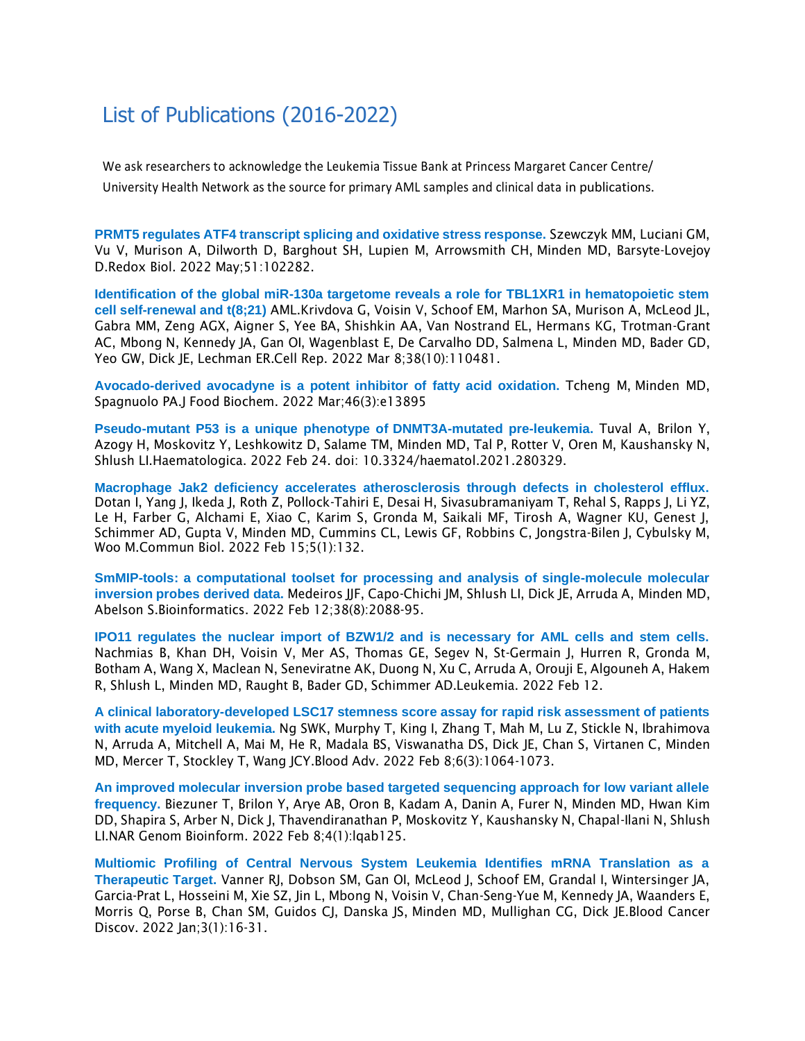## List of Publications (2016-2022)

We ask researchers to acknowledge the Leukemia Tissue Bank at Princess Margaret Cancer Centre/ University Health Network as the source for primary AML samples and clinical data in publications.

**PRMT5 [regulates ATF4 transcript splicing and oxidative stress response.](https://pubmed.ncbi.nlm.nih.gov/35305370/)** Szewczyk MM, Luciani GM, Vu V, Murison A, Dilworth D, Barghout SH, Lupien M, Arrowsmith CH, Minden MD, Barsyte-Lovejoy D.Redox Biol. 2022 May;51:102282.

**[Identification of the global miR-130a targetome reveals a role for TBL1XR1 in hematopoietic stem](https://pubmed.ncbi.nlm.nih.gov/35263585/)  [cell self-renewal and t\(8;21\)](https://pubmed.ncbi.nlm.nih.gov/35263585/)** AML.Krivdova G, Voisin V, Schoof EM, Marhon SA, Murison A, McLeod JL, Gabra MM, Zeng AGX, Aigner S, Yee BA, Shishkin AA, Van Nostrand EL, Hermans KG, Trotman-Grant AC, Mbong N, Kennedy JA, Gan OI, Wagenblast E, De Carvalho DD, Salmena L, Minden MD, Bader GD, Yeo GW, Dick JE, Lechman ER.Cell Rep. 2022 Mar 8;38(10):110481.

**Avocado-derived avocadyne is a potent inhibitor of fatty acid oxidation.** Tcheng M, Minden MD, Spagnuolo PA.J Food Biochem. 2022 Mar;46(3):e13895

**[Pseudo-mutant P53 is a unique phenotype of](https://pubmed.ncbi.nlm.nih.gov/35199506/) DNMT3A-mutated pre-leukemia.** Tuval A, Brilon Y, Azogy H, Moskovitz Y, Leshkowitz D, Salame TM, Minden MD, Tal P, Rotter V, Oren M, Kaushansky N, Shlush LI.Haematologica. 2022 Feb 24. doi: 10.3324/haematol.2021.280329.

**[Macrophage Jak2 deficiency accelerates atherosclerosis through defects in cholesterol efflux.](https://pubmed.ncbi.nlm.nih.gov/35169231/)** Dotan I, Yang J, Ikeda J, Roth Z, Pollock-Tahiri E, Desai H, Sivasubramaniyam T, Rehal S, Rapps J, Li YZ, Le H, Farber G, Alchami E, Xiao C, Karim S, Gronda M, Saikali MF, Tirosh A, Wagner KU, Genest J, Schimmer AD, Gupta V, Minden MD, Cummins CL, Lewis GF, Robbins C, Jongstra-Bilen J, Cybulsky M, Woo M.Commun Biol. 2022 Feb 15;5(1):132.

**[SmMIP-tools: a computational toolset for processing and analysis of single-molecule molecular](https://pubmed.ncbi.nlm.nih.gov/35150236/)  [inversion probes derived data.](https://pubmed.ncbi.nlm.nih.gov/35150236/)** Medeiros JJF, Capo-Chichi JM, Shlush LI, Dick JE, Arruda A, Minden MD, Abelson S.Bioinformatics. 2022 Feb 12;38(8):2088-95.

**IPO11 regulates the nuclear import of BZW1/2 and is necessary for AML cells and stem cells.** Nachmias B, Khan DH, Voisin V, Mer AS, Thomas GE, Segev N, St-Germain J, Hurren R, Gronda M, Botham A, Wang X, Maclean N, Seneviratne AK, Duong N, Xu C, Arruda A, Orouji E, Algouneh A, Hakem R, Shlush L, Minden MD, Raught B, Bader GD, Schimmer AD.Leukemia. 2022 Feb 12.

**[A clinical laboratory-developed LSC17 stemness score assay for rapid risk assessment of patients](https://pubmed.ncbi.nlm.nih.gov/34872104/)  [with acute myeloid leukemia.](https://pubmed.ncbi.nlm.nih.gov/34872104/)** Ng SWK, Murphy T, King I, Zhang T, Mah M, Lu Z, Stickle N, Ibrahimova N, Arruda A, Mitchell A, Mai M, He R, Madala BS, Viswanatha DS, Dick JE, Chan S, Virtanen C, Minden MD, Mercer T, Stockley T, Wang JCY.Blood Adv. 2022 Feb 8;6(3):1064-1073.

**[An improved molecular inversion probe based targeted sequencing approach for low variant allele](https://pubmed.ncbi.nlm.nih.gov/35156021/)  [frequency.](https://pubmed.ncbi.nlm.nih.gov/35156021/)** Biezuner T, Brilon Y, Arye AB, Oron B, Kadam A, Danin A, Furer N, Minden MD, Hwan Kim DD, Shapira S, Arber N, Dick J, Thavendiranathan P, Moskovitz Y, Kaushansky N, Chapal-Ilani N, Shlush LI.NAR Genom Bioinform. 2022 Feb 8;4(1):lqab125.

**[Multiomic Profiling of Central Nervous System Leukemia Identifies mRNA Translation as a](https://pubmed.ncbi.nlm.nih.gov/35019858/)  [Therapeutic Target.](https://pubmed.ncbi.nlm.nih.gov/35019858/)** Vanner RJ, Dobson SM, Gan OI, McLeod J, Schoof EM, Grandal I, Wintersinger JA, Garcia-Prat L, Hosseini M, Xie SZ, Jin L, Mbong N, Voisin V, Chan-Seng-Yue M, Kennedy JA, Waanders E, Morris Q, Porse B, Chan SM, Guidos CJ, Danska JS, Minden MD, Mullighan CG, Dick JE.Blood Cancer Discov. 2022 Jan;3(1):16-31.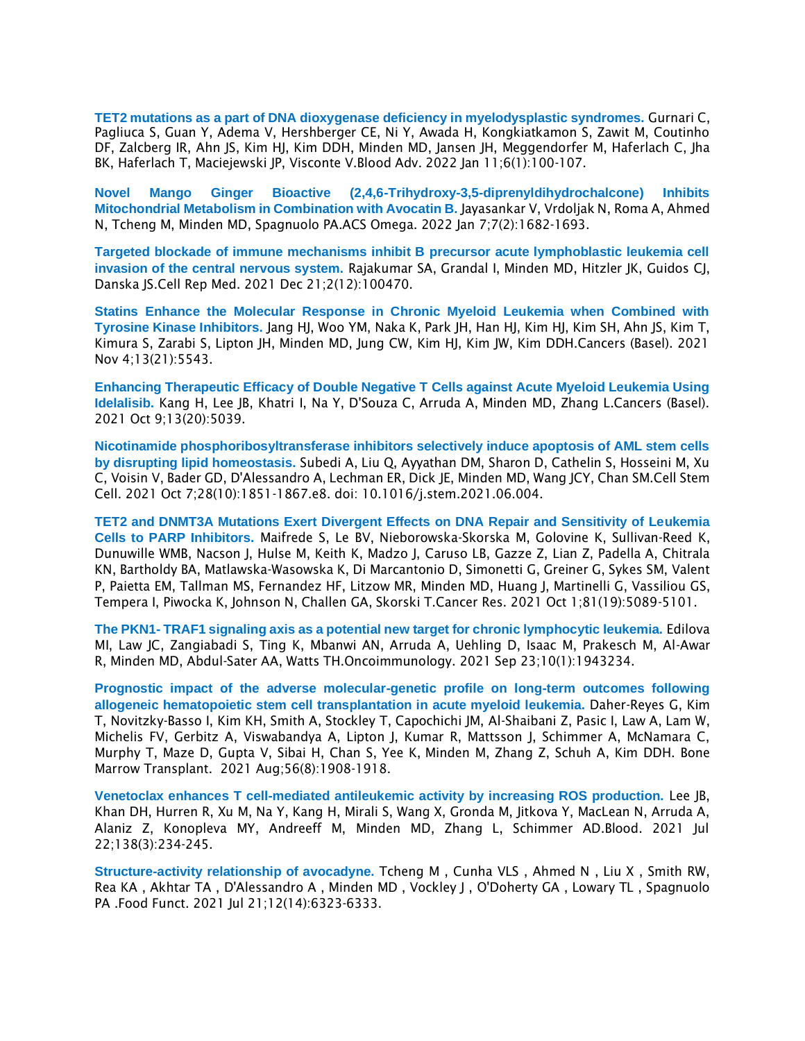**[TET2 mutations as a part of DNA dioxygenase deficiency in myelodysplastic syndromes.](https://pubmed.ncbi.nlm.nih.gov/34768283/)** Gurnari C, Pagliuca S, Guan Y, Adema V, Hershberger CE, Ni Y, Awada H, Kongkiatkamon S, Zawit M, Coutinho DF, Zalcberg IR, Ahn JS, Kim HJ, Kim DDH, Minden MD, Jansen JH, Meggendorfer M, Haferlach C, Jha BK, Haferlach T, Maciejewski JP, Visconte V.Blood Adv. 2022 Jan 11;6(1):100-107.

**[Novel Mango Ginger Bioactive \(2,4,6-Trihydroxy-3,5-diprenyldihydrochalcone\) Inhibits](https://pubmed.ncbi.nlm.nih.gov/35071863/)  [Mitochondrial Metabolism in Combination with Avocatin B.](https://pubmed.ncbi.nlm.nih.gov/35071863/)** Jayasankar V, Vrdoljak N, Roma A, Ahmed N, Tcheng M, Minden MD, Spagnuolo PA.ACS Omega. 2022 Jan 7;7(2):1682-1693.

**Targeted blockade of immune mechanisms inhibit B precursor acute lymphoblastic leukemia cell invasion of the central nervous system.** Rajakumar SA, Grandal I, Minden MD, Hitzler JK, Guidos CJ, Danska JS.Cell Rep Med. 2021 Dec 21;2(12):100470.

**[Statins Enhance the Molecular Response in Chronic Myeloid Leukemia when Combined with](https://pubmed.ncbi.nlm.nih.gov/34771705/)  [Tyrosine Kinase Inhibitors.](https://pubmed.ncbi.nlm.nih.gov/34771705/)** Jang HJ, Woo YM, Naka K, Park JH, Han HJ, Kim HJ, Kim SH, Ahn JS, Kim T, Kimura S, Zarabi S, Lipton JH, Minden MD, Jung CW, Kim HJ, Kim JW, Kim DDH.Cancers (Basel). 2021 Nov 4;13(21):5543.

**[Enhancing Therapeutic Efficacy of Double Negative T Cells against Acute Myeloid Leukemia Using](https://pubmed.ncbi.nlm.nih.gov/34680188/)  [Idelalisib.](https://pubmed.ncbi.nlm.nih.gov/34680188/)** Kang H, Lee JB, Khatri I, Na Y, D'Souza C, Arruda A, Minden MD, Zhang L.Cancers (Basel). 2021 Oct 9;13(20):5039.

**[Nicotinamide phosphoribosyltransferase inhibitors selectively induce apoptosis of AML stem cells](https://pubmed.ncbi.nlm.nih.gov/34293334/)  by disrupting [lipid homeostasis.](https://pubmed.ncbi.nlm.nih.gov/34293334/)** Subedi A, Liu Q, Ayyathan DM, Sharon D, Cathelin S, Hosseini M, Xu C, Voisin V, Bader GD, D'Alessandro A, Lechman ER, Dick JE, Minden MD, Wang JCY, Chan SM.Cell Stem Cell. 2021 Oct 7;28(10):1851-1867.e8. doi: 10.1016/j.stem.2021.06.004.

**TET2 and DNMT3A [Mutations Exert Divergent Effects on DNA Repair and Sensitivity of Leukemia](https://pubmed.ncbi.nlm.nih.gov/34215619/)  [Cells to PARP Inhibitors.](https://pubmed.ncbi.nlm.nih.gov/34215619/)** Maifrede S, Le BV, Nieborowska-Skorska M, Golovine K, Sullivan-Reed K, Dunuwille WMB, Nacson J, Hulse M, Keith K, Madzo J, Caruso LB, Gazze Z, Lian Z, Padella A, Chitrala KN, Bartholdy BA, Matlawska-Wasowska K, Di Marcantonio D, Simonetti G, Greiner G, Sykes SM, Valent P, Paietta EM, Tallman MS, Fernandez HF, Litzow MR, Minden MD, Huang J, Martinelli G, Vassiliou GS, Tempera I, Piwocka K, Johnson N, Challen GA, Skorski T.Cancer Res. 2021 Oct 1;81(19):5089-5101.

**The PKN1- [TRAF1 signaling axis as a potential new target for chronic lymphocytic leukemia.](https://pubmed.ncbi.nlm.nih.gov/34589290/)** Edilova MI, Law JC, Zangiabadi S, Ting K, Mbanwi AN, Arruda A, Uehling D, Isaac M, Prakesch M, Al-Awar R, Minden MD, Abdul-Sater AA, Watts TH.Oncoimmunology. 2021 Sep 23;10(1):1943234.

**[Prognostic impact of the adverse molecular-genetic profile on long-term outcomes following](https://pubmed.ncbi.nlm.nih.gov/33767401/)  [allogeneic hematopoietic stem cell transplantation in acute myeloid](https://pubmed.ncbi.nlm.nih.gov/33767401/) leukemia.** Daher-Reyes G, Kim T, Novitzky-Basso I, Kim KH, Smith A, Stockley T, Capochichi JM, Al-Shaibani Z, Pasic I, Law A, Lam W, Michelis FV, Gerbitz A, Viswabandya A, Lipton J, Kumar R, Mattsson J, Schimmer A, McNamara C, Murphy T, Maze D, Gupta V, Sibai H, Chan S, Yee K, Minden M, Zhang Z, Schuh A, Kim DDH. Bone Marrow Transplant. 2021 Aug;56(8):1908-1918.

**[Venetoclax enhances T cell-mediated antileukemic activity by increasing ROS production.](https://pubmed.ncbi.nlm.nih.gov/34292323/)** Lee JB, Khan DH, Hurren R, Xu M, Na Y, Kang H, Mirali S, Wang X, Gronda M, Jitkova Y, MacLean N, Arruda A, Alaniz Z, Konopleva MY, Andreeff M, Minden MD, Zhang L, Schimmer AD.Blood. 2021 Jul 22;138(3):234-245.

**[Structure-activity relationship of avocadyne.](https://pubmed.ncbi.nlm.nih.gov/34095930/)** Tcheng M , Cunha VLS , Ahmed N , Liu X , Smith RW, Rea KA , Akhtar TA , D'Alessandro A , Minden MD , Vockley J , O'Doherty GA , Lowary TL , Spagnuolo PA .Food Funct. 2021 Jul 21;12(14):6323-6333.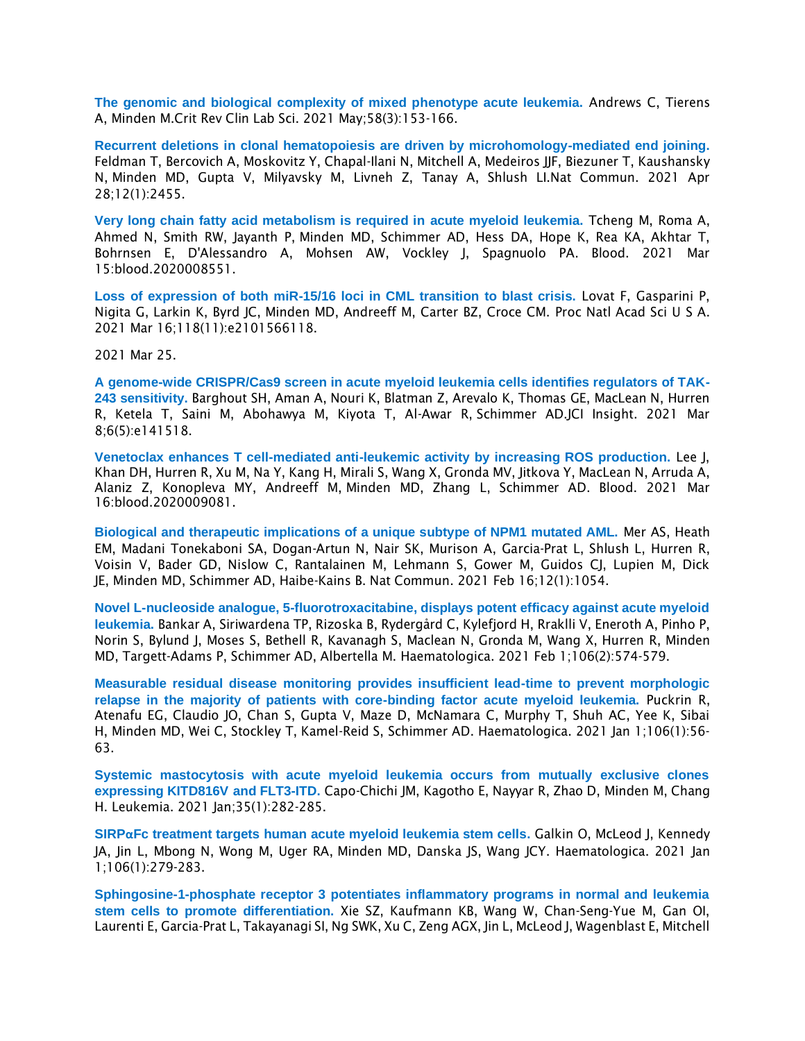**[The genomic and biological complexity of mixed phenotype acute leukemia.](https://pubmed.ncbi.nlm.nih.gov/33161794/)** Andrews C, Tierens A, Minden M.Crit Rev Clin Lab Sci. 2021 May;58(3):153-166.

**[Recurrent deletions in clonal hematopoiesis are driven by microhomology-mediated end joining.](https://pubmed.ncbi.nlm.nih.gov/33911081/)** Feldman T, Bercovich A, Moskovitz Y, Chapal-Ilani N, Mitchell A, Medeiros JJF, Biezuner T, Kaushansky N, Minden MD, Gupta V, Milyavsky M, Livneh Z, Tanay A, Shlush LI.Nat Commun. 2021 Apr 28;12(1):2455.

**[Very long chain fatty acid metabolism is required in acute myeloid leukemia.](https://pubmed.ncbi.nlm.nih.gov/33720355/)** Tcheng M, Roma A, Ahmed N, Smith RW, Jayanth P, Minden MD, Schimmer AD, Hess DA, Hope K, Rea KA, Akhtar T, Bohrnsen E, D'Alessandro A, Mohsen AW, Vockley J, Spagnuolo PA. Blood. 2021 Mar 15:blood.2020008551.

**[Loss of expression of both miR-15/16 loci in CML transition to blast crisis.](https://pubmed.ncbi.nlm.nih.gov/33836616/)** Lovat F, Gasparini P, Nigita G, Larkin K, Byrd JC, Minden MD, Andreeff M, Carter BZ, Croce CM. Proc Natl Acad Sci U S A. 2021 Mar 16;118(11):e2101566118.

2021 Mar 25.

**[A genome-wide CRISPR/Cas9 screen in acute myeloid leukemia cells identifies regulators of TAK-](https://pubmed.ncbi.nlm.nih.gov/33476303/)[243 sensitivity.](https://pubmed.ncbi.nlm.nih.gov/33476303/)** Barghout SH, Aman A, Nouri K, Blatman Z, Arevalo K, Thomas GE, MacLean N, Hurren R, Ketela T, Saini M, Abohawya M, Kiyota T, Al-Awar R, Schimmer AD.JCI Insight. 2021 Mar 8;6(5):e141518.

**[Venetoclax enhances T cell-mediated anti-leukemic activity by increasing ROS production.](https://pubmed.ncbi.nlm.nih.gov/33728465/)** Lee J, Khan DH, Hurren R, Xu M, Na Y, Kang H, Mirali S, Wang X, Gronda MV, Jitkova Y, MacLean N, Arruda A, Alaniz Z, Konopleva MY, Andreeff M, Minden MD, Zhang L, Schimmer AD. Blood. 2021 Mar 16:blood.2020009081.

**[Biological and therapeutic implications of a unique subtype of NPM1 mutated AML.](https://pubmed.ncbi.nlm.nih.gov/33594052/)** Mer AS, Heath EM, Madani Tonekaboni SA, Dogan-Artun N, Nair SK, Murison A, Garcia-Prat L, Shlush L, Hurren R, Voisin V, Bader GD, Nislow C, Rantalainen M, Lehmann S, Gower M, Guidos CJ, Lupien M, Dick JE, Minden MD, Schimmer AD, Haibe-Kains B. Nat Commun. 2021 Feb 16;12(1):1054.

**[Novel L-nucleoside analogue, 5-fluorotroxacitabine, displays potent efficacy against acute myeloid](https://pubmed.ncbi.nlm.nih.gov/31857370/)  [leukemia.](https://pubmed.ncbi.nlm.nih.gov/31857370/)** Bankar A, Siriwardena TP, Rizoska B, Rydergård C, Kylefjord H, Rraklli V, Eneroth A, Pinho P, Norin S, Bylund J, Moses S, Bethell R, Kavanagh S, Maclean N, Gronda M, Wang X, Hurren R, Minden MD, Targett-Adams P, Schimmer AD, Albertella M. Haematologica. 2021 Feb 1;106(2):574-579.

**[Measurable residual disease monitoring provides insufficient lead-time to prevent morphologic](https://pubmed.ncbi.nlm.nih.gov/31896684/)  [relapse in the majority of patients with core-binding factor acute myeloid leukemia.](https://pubmed.ncbi.nlm.nih.gov/31896684/)** Puckrin R, Atenafu EG, Claudio JO, Chan S, Gupta V, Maze D, McNamara C, Murphy T, Shuh AC, Yee K, Sibai H, Minden MD, Wei C, Stockley T, Kamel-Reid S, Schimmer AD. Haematologica. 2021 Jan 1;106(1):56- 63.

**[Systemic mastocytosis with acute myeloid leukemia occurs from mutually exclusive clones](https://pubmed.ncbi.nlm.nih.gov/33106623/)  [expressing KITD816V](https://pubmed.ncbi.nlm.nih.gov/33106623/) and FLT3-ITD.** Capo-Chichi JM, Kagotho E, Nayyar R, Zhao D, Minden M, Chang H. Leukemia. 2021 Jan;35(1):282-285.

**SIRPα[Fc treatment targets human acute myeloid leukemia stem cells.](https://pubmed.ncbi.nlm.nih.gov/32054659/)** Galkin O, McLeod J, Kennedy JA, Jin L, Mbong N, Wong M, Uger RA, Minden MD, Danska JS, Wang JCY. Haematologica. 2021 Jan 1;106(1):279-283.

**[Sphingosine-1-phosphate receptor 3 potentiates inflammatory programs in normal and leukemia](https://pubmed.ncbi.nlm.nih.gov/33458693/)  [stem cells to promote differentiation.](https://pubmed.ncbi.nlm.nih.gov/33458693/)** Xie SZ, Kaufmann KB, Wang W, Chan-Seng-Yue M, Gan OI, Laurenti E, Garcia-Prat L, Takayanagi SI, Ng SWK, Xu C, Zeng AGX, Jin L, McLeod J, Wagenblast E, Mitchell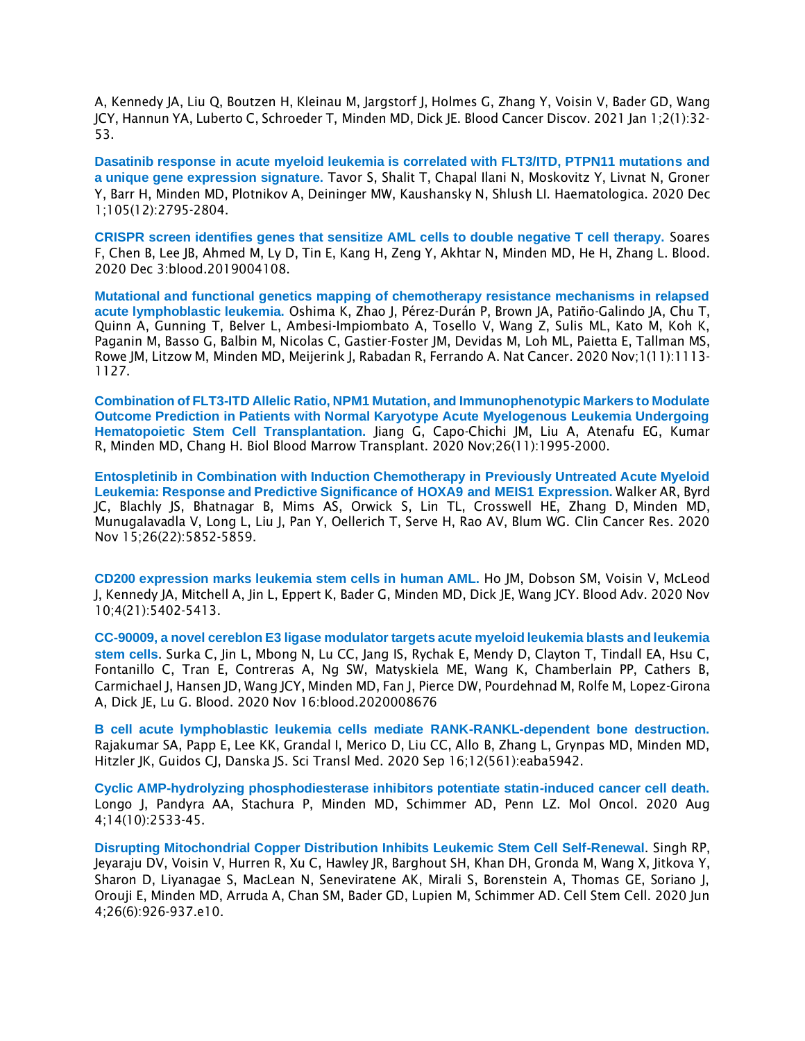A, Kennedy JA, Liu Q, Boutzen H, Kleinau M, Jargstorf J, Holmes G, Zhang Y, Voisin V, Bader GD, Wang JCY, Hannun YA, Luberto C, Schroeder T, Minden MD, Dick JE. Blood Cancer Discov. 2021 Jan 1;2(1):32- 53.

**[Dasatinib response in acute myeloid leukemia is correlated with FLT3/ITD, PTPN11 mutations and](https://pubmed.ncbi.nlm.nih.gov/33256378/)  [a unique gene expression signature.](https://pubmed.ncbi.nlm.nih.gov/33256378/)** Tavor S, Shalit T, Chapal Ilani N, Moskovitz Y, Livnat N, Groner Y, Barr H, Minden MD, Plotnikov A, Deininger MW, Kaushansky N, Shlush LI. Haematologica. 2020 Dec 1;105(12):2795-2804.

**[CRISPR screen identifies genes that sensitize AML cells to double negative T cell therapy.](https://pubmed.ncbi.nlm.nih.gov/33270841/)** Soares F, Chen B, Lee JB, Ahmed M, Ly D, Tin E, Kang H, Zeng Y, Akhtar N, Minden MD, He H, Zhang L. Blood. 2020 Dec 3:blood.2019004108.

**[Mutational and functional genetics mapping of chemotherapy resistance mechanisms in relapsed](https://pubmed.ncbi.nlm.nih.gov/33796864/)  [acute lymphoblastic leukemia.](https://pubmed.ncbi.nlm.nih.gov/33796864/)** Oshima K, Zhao J, Pérez-Durán P, Brown JA, Patiño-Galindo JA, Chu T, Quinn A, Gunning T, Belver L, Ambesi-Impiombato A, Tosello V, Wang Z, Sulis ML, Kato M, Koh K, Paganin M, Basso G, Balbin M, Nicolas C, Gastier-Foster JM, Devidas M, Loh ML, Paietta E, Tallman MS, Rowe JM, Litzow M, Minden MD, Meijerink J, Rabadan R, Ferrando A. Nat Cancer. 2020 Nov;1(11):1113- 1127.

**[Combination of FLT3-ITD Allelic Ratio, NPM1 Mutation, and Immunophenotypic Markers to Modulate](https://pubmed.ncbi.nlm.nih.gov/32712325/)  [Outcome Prediction in Patients with Normal Karyotype Acute Myelogenous Leukemia Undergoing](https://pubmed.ncbi.nlm.nih.gov/32712325/)  [Hematopoietic Stem Cell Transplantation.](https://pubmed.ncbi.nlm.nih.gov/32712325/)** Jiang G, Capo-Chichi JM, Liu A, Atenafu EG, Kumar R, Minden MD, Chang H. Biol Blood Marrow Transplant. 2020 Nov;26(11):1995-2000.

**[Entospletinib in Combination with Induction Chemotherapy in Previously Untreated Acute Myeloid](https://pubmed.ncbi.nlm.nih.gov/32820015/)  [Leukemia: Response and Predictive Significance of](https://pubmed.ncbi.nlm.nih.gov/32820015/) HOXA9 and MEIS1 Expression.** Walker AR, Byrd JC, Blachly JS, Bhatnagar B, Mims AS, Orwick S, Lin TL, Crosswell HE, Zhang D, Minden MD, Munugalavadla V, Long L, Liu J, Pan Y, Oellerich T, Serve H, Rao AV, Blum WG. Clin Cancer Res. 2020 Nov 15;26(22):5852-5859.

**CD200 expression marks leukemia stem cells in human AML.** Ho JM, Dobson SM, Voisin V, McLeod J, Kennedy JA, Mitchell A, Jin L, Eppert K, Bader G, Minden MD, Dick JE, Wang JCY. Blood Adv. 2020 Nov 10;4(21):5402-5413.

**CC-90009, a novel cereblon E3 ligase modulator targets acute myeloid leukemia blasts and leukemia stem cells**. Surka C, Jin L, Mbong N, Lu CC, Jang IS, Rychak E, Mendy D, Clayton T, Tindall EA, Hsu C, Fontanillo C, Tran E, Contreras A, Ng SW, Matyskiela ME, Wang K, Chamberlain PP, Cathers B, Carmichael J, Hansen JD, Wang JCY, Minden MD, Fan J, Pierce DW, Pourdehnad M, Rolfe M, Lopez-Girona A, Dick JE, Lu G. Blood. 2020 Nov 16:blood.2020008676

**B cell acute lymphoblastic leukemia cells mediate RANK-RANKL-dependent bone destruction.**  Rajakumar SA, Papp E, Lee KK, Grandal I, Merico D, Liu CC, Allo B, Zhang L, Grynpas MD, Minden MD, Hitzler JK, Guidos CJ, Danska JS. Sci Transl Med. 2020 Sep 16;12(561):eaba5942.

**Cyclic AMP-hydrolyzing phosphodiesterase inhibitors potentiate statin-induced cancer cell death.**  Longo J, Pandyra AA, Stachura P, Minden MD, Schimmer AD, Penn LZ. Mol Oncol. 2020 Aug 4;14(10):2533-45.

**Disrupting Mitochondrial Copper Distribution Inhibits Leukemic Stem Cell Self-Renewal**. Singh RP, Jeyaraju DV, Voisin V, Hurren R, Xu C, Hawley JR, Barghout SH, Khan DH, Gronda M, Wang X, Jitkova Y, Sharon D, Liyanagae S, MacLean N, Seneviratene AK, Mirali S, Borenstein A, Thomas GE, Soriano J, Orouji E, Minden MD, Arruda A, Chan SM, Bader GD, Lupien M, Schimmer AD. Cell Stem Cell. 2020 Jun 4;26(6):926-937.e10.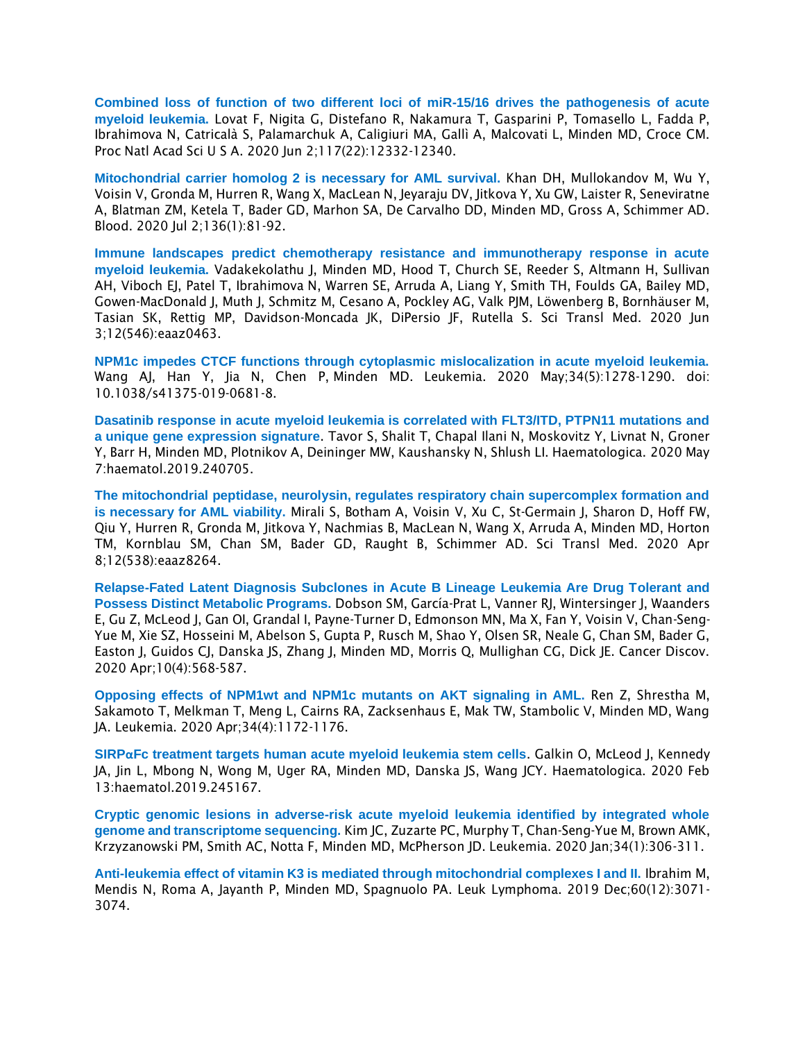**Combined loss of function of two different loci of miR-15/16 drives the pathogenesis of acute myeloid leukemia.** Lovat F, Nigita G, Distefano R, Nakamura T, Gasparini P, Tomasello L, Fadda P, Ibrahimova N, Catricalà S, Palamarchuk A, Caligiuri MA, Gallì A, Malcovati L, Minden MD, Croce CM. Proc Natl Acad Sci U S A. 2020 Jun 2;117(22):12332-12340.

**Mitochondrial carrier homolog 2 is necessary for AML survival.** Khan DH, Mullokandov M, Wu Y, Voisin V, Gronda M, Hurren R, Wang X, MacLean N, Jeyaraju DV, Jitkova Y, Xu GW, Laister R, Seneviratne A, Blatman ZM, Ketela T, Bader GD, Marhon SA, De Carvalho DD, Minden MD, Gross A, Schimmer AD. Blood. 2020 Jul 2;136(1):81-92.

**Immune landscapes predict chemotherapy resistance and immunotherapy response in acute myeloid leukemia.** Vadakekolathu J, Minden MD, Hood T, Church SE, Reeder S, Altmann H, Sullivan AH, Viboch EJ, Patel T, Ibrahimova N, Warren SE, Arruda A, Liang Y, Smith TH, Foulds GA, Bailey MD, Gowen-MacDonald J, Muth J, Schmitz M, Cesano A, Pockley AG, Valk PJM, Löwenberg B, Bornhäuser M, Tasian SK, Rettig MP, Davidson-Moncada JK, DiPersio JF, Rutella S. Sci Transl Med. 2020 Jun 3;12(546):eaaz0463.

**[NPM1c impedes CTCF functions through cytoplasmic mislocalization in acute myeloid leukemia.](https://pubmed.ncbi.nlm.nih.gov/31831844/)** Wang AJ, Han Y, Jia N, Chen P, Minden MD. Leukemia. 2020 May;34(5):1278-1290. doi: 10.1038/s41375-019-0681-8.

**Dasatinib response in acute myeloid leukemia is correlated with FLT3/ITD, PTPN11 mutations and a unique gene expression signature**. Tavor S, Shalit T, Chapal Ilani N, Moskovitz Y, Livnat N, Groner Y, Barr H, Minden MD, Plotnikov A, Deininger MW, Kaushansky N, Shlush LI. Haematologica. 2020 May 7:haematol.2019.240705.

**The mitochondrial peptidase, neurolysin, regulates respiratory chain supercomplex formation and is necessary for AML viability.** Mirali S, Botham A, Voisin V, Xu C, St-Germain J, Sharon D, Hoff FW, Qiu Y, Hurren R, Gronda M, Jitkova Y, Nachmias B, MacLean N, Wang X, Arruda A, Minden MD, Horton TM, Kornblau SM, Chan SM, Bader GD, Raught B, Schimmer AD. Sci Transl Med. 2020 Apr 8;12(538):eaaz8264.

**Relapse-Fated Latent Diagnosis Subclones in Acute B Lineage Leukemia Are Drug Tolerant and Possess Distinct Metabolic Programs.** Dobson SM, García-Prat L, Vanner RJ, Wintersinger J, Waanders E, Gu Z, McLeod J, Gan OI, Grandal I, Payne-Turner D, Edmonson MN, Ma X, Fan Y, Voisin V, Chan-Seng-Yue M, Xie SZ, Hosseini M, Abelson S, Gupta P, Rusch M, Shao Y, Olsen SR, Neale G, Chan SM, Bader G, Easton J, Guidos CJ, Danska JS, Zhang J, Minden MD, Morris Q, Mullighan CG, Dick JE. Cancer Discov. 2020 Apr;10(4):568-587.

**Opposing effects of NPM1wt and NPM1c mutants on AKT signaling in AML.** Ren Z, Shrestha M, Sakamoto T, Melkman T, Meng L, Cairns RA, Zacksenhaus E, Mak TW, Stambolic V, Minden MD, Wang JA. Leukemia. 2020 Apr;34(4):1172-1176.

**SIRPαFc treatment targets human acute myeloid leukemia stem cells**. Galkin O, McLeod J, Kennedy JA, Jin L, Mbong N, Wong M, Uger RA, Minden MD, Danska JS, Wang JCY. Haematologica. 2020 Feb 13:haematol.2019.245167.

**Cryptic genomic lesions in adverse-risk acute myeloid leukemia identified by integrated whole genome and transcriptome sequencing.** Kim JC, Zuzarte PC, Murphy T, Chan-Seng-Yue M, Brown AMK, Krzyzanowski PM, Smith AC, Notta F, Minden MD, McPherson JD. Leukemia. 2020 Jan;34(1):306-311.

**Anti-leukemia effect of vitamin K3 is mediated through mitochondrial complexes I and II.** Ibrahim M, Mendis N, Roma A, Jayanth P, Minden MD, Spagnuolo PA. Leuk Lymphoma. 2019 Dec;60(12):3071- 3074.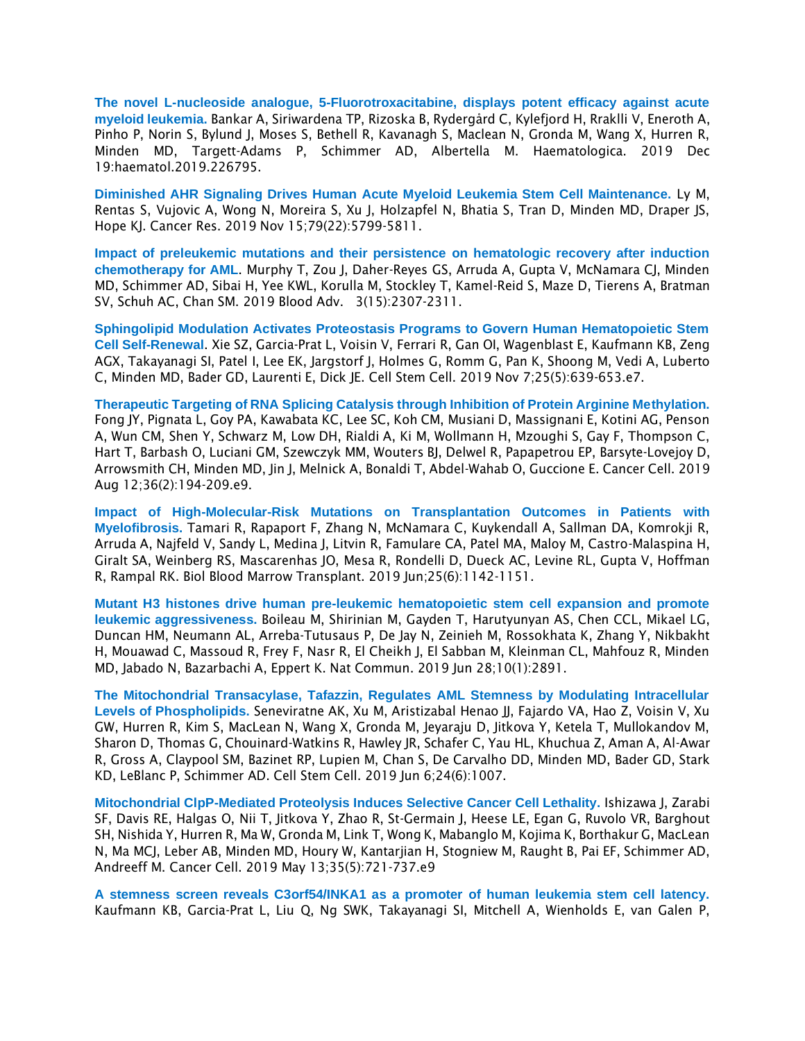**The novel L-nucleoside analogue, 5-Fluorotroxacitabine, displays potent efficacy against acute myeloid leukemia.** Bankar A, Siriwardena TP, Rizoska B, Rydergård C, Kylefjord H, Rraklli V, Eneroth A, Pinho P, Norin S, Bylund J, Moses S, Bethell R, Kavanagh S, Maclean N, Gronda M, Wang X, Hurren R, Minden MD, Targett-Adams P, Schimmer AD, Albertella M. Haematologica. 2019 Dec 19:haematol.2019.226795.

**Diminished AHR Signaling Drives Human Acute Myeloid Leukemia Stem Cell Maintenance.** Ly M, Rentas S, Vujovic A, Wong N, Moreira S, Xu J, Holzapfel N, Bhatia S, Tran D, Minden MD, Draper JS, Hope KJ. Cancer Res. 2019 Nov 15;79(22):5799-5811.

**Impact of preleukemic mutations and their persistence on hematologic recovery after induction chemotherapy for AML**. Murphy T, Zou J, Daher-Reyes GS, Arruda A, Gupta V, McNamara CJ, Minden MD, Schimmer AD, Sibai H, Yee KWL, Korulla M, Stockley T, Kamel-Reid S, Maze D, Tierens A, Bratman SV, Schuh AC, Chan SM. 2019 Blood Adv. 3(15):2307-2311.

**Sphingolipid Modulation Activates Proteostasis Programs to Govern Human Hematopoietic Stem Cell Self-Renewal**. Xie SZ, Garcia-Prat L, Voisin V, Ferrari R, Gan OI, Wagenblast E, Kaufmann KB, Zeng AGX, Takayanagi SI, Patel I, Lee EK, Jargstorf J, Holmes G, Romm G, Pan K, Shoong M, Vedi A, Luberto C, Minden MD, Bader GD, Laurenti E, Dick JE. Cell Stem Cell. 2019 Nov 7;25(5):639-653.e7.

**Therapeutic Targeting of RNA Splicing Catalysis through Inhibition of Protein Arginine Methylation.** Fong JY, Pignata L, Goy PA, Kawabata KC, Lee SC, Koh CM, Musiani D, Massignani E, Kotini AG, Penson A, Wun CM, Shen Y, Schwarz M, Low DH, Rialdi A, Ki M, Wollmann H, Mzoughi S, Gay F, Thompson C, Hart T, Barbash O, Luciani GM, Szewczyk MM, Wouters BJ, Delwel R, Papapetrou EP, Barsyte-Lovejoy D, Arrowsmith CH, Minden MD, Jin J, Melnick A, Bonaldi T, Abdel-Wahab O, Guccione E. Cancer Cell. 2019 Aug 12;36(2):194-209.e9.

**Impact of High-Molecular-Risk Mutations on Transplantation Outcomes in Patients with Myelofibrosis.** Tamari R, Rapaport F, Zhang N, McNamara C, Kuykendall A, Sallman DA, Komrokji R, Arruda A, Najfeld V, Sandy L, Medina J, Litvin R, Famulare CA, Patel MA, Maloy M, Castro-Malaspina H, Giralt SA, Weinberg RS, Mascarenhas JO, Mesa R, Rondelli D, Dueck AC, Levine RL, Gupta V, Hoffman R, Rampal RK. Biol Blood Marrow Transplant. 2019 Jun;25(6):1142-1151.

**Mutant H3 histones drive human pre-leukemic hematopoietic stem cell expansion and promote leukemic aggressiveness.** Boileau M, Shirinian M, Gayden T, Harutyunyan AS, Chen CCL, Mikael LG, Duncan HM, Neumann AL, Arreba-Tutusaus P, De Jay N, Zeinieh M, Rossokhata K, Zhang Y, Nikbakht H, Mouawad C, Massoud R, Frey F, Nasr R, El Cheikh J, El Sabban M, Kleinman CL, Mahfouz R, Minden MD, Jabado N, Bazarbachi A, Eppert K. Nat Commun. 2019 Jun 28;10(1):2891.

**The Mitochondrial Transacylase, Tafazzin, Regulates AML Stemness by Modulating Intracellular Levels of Phospholipids.** Seneviratne AK, Xu M, Aristizabal Henao JJ, Fajardo VA, Hao Z, Voisin V, Xu GW, Hurren R, Kim S, MacLean N, Wang X, Gronda M, Jeyaraju D, Jitkova Y, Ketela T, Mullokandov M, Sharon D, Thomas G, Chouinard-Watkins R, Hawley JR, Schafer C, Yau HL, Khuchua Z, Aman A, Al-Awar R, Gross A, Claypool SM, Bazinet RP, Lupien M, Chan S, De Carvalho DD, Minden MD, Bader GD, Stark KD, LeBlanc P, Schimmer AD. Cell Stem Cell. 2019 Jun 6;24(6):1007.

**Mitochondrial ClpP-Mediated Proteolysis Induces Selective Cancer Cell Lethality.** Ishizawa J, Zarabi SF, Davis RE, Halgas O, Nii T, Jitkova Y, Zhao R, St-Germain J, Heese LE, Egan G, Ruvolo VR, Barghout SH, Nishida Y, Hurren R, Ma W, Gronda M, Link T, Wong K, Mabanglo M, Kojima K, Borthakur G, MacLean N, Ma MCJ, Leber AB, Minden MD, Houry W, Kantarjian H, Stogniew M, Raught B, Pai EF, Schimmer AD, Andreeff M. Cancer Cell. 2019 May 13;35(5):721-737.e9

**A stemness screen reveals C3orf54/INKA1 as a promoter of human leukemia stem cell latency.**  Kaufmann KB, Garcia-Prat L, Liu Q, Ng SWK, Takayanagi SI, Mitchell A, Wienholds E, van Galen P,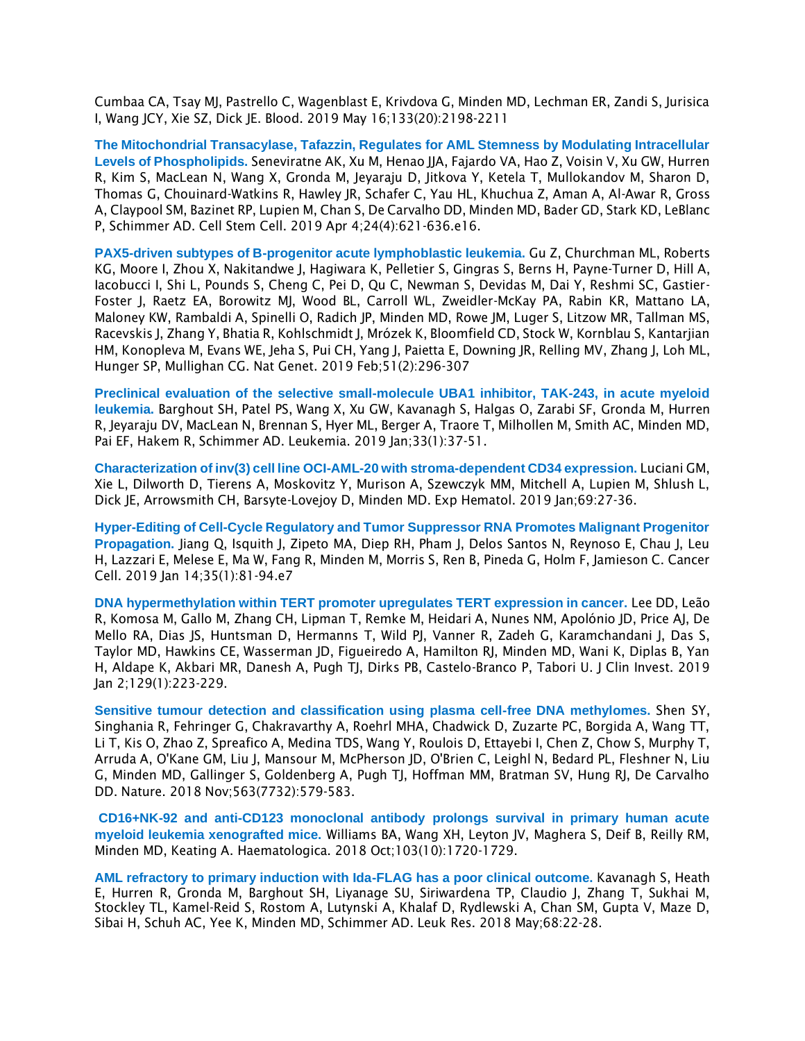Cumbaa CA, Tsay MJ, Pastrello C, Wagenblast E, Krivdova G, Minden MD, Lechman ER, Zandi S, Jurisica I, Wang JCY, Xie SZ, Dick JE. Blood. 2019 May 16;133(20):2198-2211

**The Mitochondrial Transacylase, Tafazzin, Regulates for AML Stemness by Modulating Intracellular Levels of Phospholipids.** Seneviratne AK, Xu M, Henao JJA, Fajardo VA, Hao Z, Voisin V, Xu GW, Hurren R, Kim S, MacLean N, Wang X, Gronda M, Jeyaraju D, Jitkova Y, Ketela T, Mullokandov M, Sharon D, Thomas G, Chouinard-Watkins R, Hawley JR, Schafer C, Yau HL, Khuchua Z, Aman A, Al-Awar R, Gross A, Claypool SM, Bazinet RP, Lupien M, Chan S, De Carvalho DD, Minden MD, Bader GD, Stark KD, LeBlanc P, Schimmer AD. Cell Stem Cell. 2019 Apr 4;24(4):621-636.e16.

**PAX5-driven subtypes of B-progenitor acute lymphoblastic leukemia.** Gu Z, Churchman ML, Roberts KG, Moore I, Zhou X, Nakitandwe J, Hagiwara K, Pelletier S, Gingras S, Berns H, Payne-Turner D, Hill A, Iacobucci I, Shi L, Pounds S, Cheng C, Pei D, Qu C, Newman S, Devidas M, Dai Y, Reshmi SC, Gastier-Foster J, Raetz EA, Borowitz MJ, Wood BL, Carroll WL, Zweidler-McKay PA, Rabin KR, Mattano LA, Maloney KW, Rambaldi A, Spinelli O, Radich JP, Minden MD, Rowe JM, Luger S, Litzow MR, Tallman MS, Racevskis J, Zhang Y, Bhatia R, Kohlschmidt J, Mrózek K, Bloomfield CD, Stock W, Kornblau S, Kantarjian HM, Konopleva M, Evans WE, Jeha S, Pui CH, Yang J, Paietta E, Downing JR, Relling MV, Zhang J, Loh ML, Hunger SP, Mullighan CG. Nat Genet. 2019 Feb;51(2):296-307

**Preclinical evaluation of the selective small-molecule UBA1 inhibitor, TAK-243, in acute myeloid leukemia.** Barghout SH, Patel PS, Wang X, Xu GW, Kavanagh S, Halgas O, Zarabi SF, Gronda M, Hurren R, Jeyaraju DV, MacLean N, Brennan S, Hyer ML, Berger A, Traore T, Milhollen M, Smith AC, Minden MD, Pai EF, Hakem R, Schimmer AD. Leukemia. 2019 Jan;33(1):37-51.

**Characterization of inv(3) cell line OCI-AML-20 with stroma-dependent CD34 expression.** Luciani GM, Xie L, Dilworth D, Tierens A, Moskovitz Y, Murison A, Szewczyk MM, Mitchell A, Lupien M, Shlush L, Dick JE, Arrowsmith CH, Barsyte-Lovejoy D, Minden MD. Exp Hematol. 2019 Jan;69:27-36.

**Hyper-Editing of Cell-Cycle Regulatory and Tumor Suppressor RNA Promotes Malignant Progenitor Propagation.** Jiang Q, Isquith J, Zipeto MA, Diep RH, Pham J, Delos Santos N, Reynoso E, Chau J, Leu H, Lazzari E, Melese E, Ma W, Fang R, Minden M, Morris S, Ren B, Pineda G, Holm F, Jamieson C. Cancer Cell. 2019 Jan 14;35(1):81-94.e7

**DNA hypermethylation within TERT promoter upregulates TERT expression in cancer.** Lee DD, Leão R, Komosa M, Gallo M, Zhang CH, Lipman T, Remke M, Heidari A, Nunes NM, Apolónio JD, Price AJ, De Mello RA, Dias JS, Huntsman D, Hermanns T, Wild PJ, Vanner R, Zadeh G, Karamchandani J, Das S, Taylor MD, Hawkins CE, Wasserman JD, Figueiredo A, Hamilton RJ, Minden MD, Wani K, Diplas B, Yan H, Aldape K, Akbari MR, Danesh A, Pugh TJ, Dirks PB, Castelo-Branco P, Tabori U. J Clin Invest. 2019 Jan 2;129(1):223-229.

**[Sensitive tumour detection and classification using plasma cell-free DNA methylomes.](https://pubmed.ncbi.nlm.nih.gov/30429608/)** Shen SY, Singhania R, Fehringer G, Chakravarthy A, Roehrl MHA, Chadwick D, Zuzarte PC, Borgida A, Wang TT, Li T, Kis O, Zhao Z, Spreafico A, Medina TDS, Wang Y, Roulois D, Ettayebi I, Chen Z, Chow S, Murphy T, Arruda A, O'Kane GM, Liu J, Mansour M, McPherson JD, O'Brien C, Leighl N, Bedard PL, Fleshner N, Liu G, Minden MD, Gallinger S, Goldenberg A, Pugh TJ, Hoffman MM, Bratman SV, Hung RJ, De Carvalho DD. Nature. 2018 Nov;563(7732):579-583.

**CD16+NK-92 and anti-CD123 monoclonal antibody prolongs survival in primary human acute myeloid leukemia xenografted mice.** Williams BA, Wang XH, Leyton JV, Maghera S, Deif B, Reilly RM, Minden MD, Keating A. Haematologica. 2018 Oct;103(10):1720-1729.

**[AML refractory to primary induction with Ida-FLAG has a poor clinical outcome.](https://pubmed.ncbi.nlm.nih.gov/29518628/)** Kavanagh S, Heath E, Hurren R, Gronda M, Barghout SH, Liyanage SU, Siriwardena TP, Claudio J, Zhang T, Sukhai M, Stockley TL, Kamel-Reid S, Rostom A, Lutynski A, Khalaf D, Rydlewski A, Chan SM, Gupta V, Maze D, Sibai H, Schuh AC, Yee K, Minden MD, Schimmer AD. Leuk Res. 2018 May;68:22-28.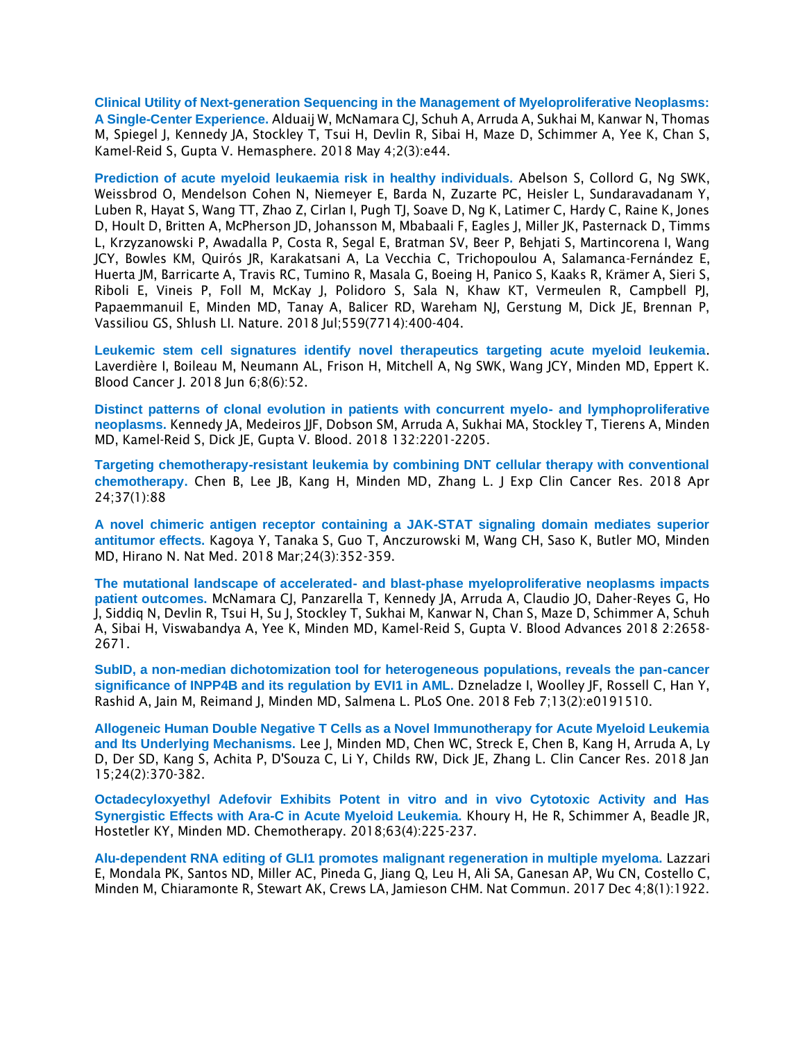**Clinical Utility of Next-generation Sequencing in the Management of Myeloproliferative Neoplasms: A Single-Center Experience.** Alduaij W, McNamara CJ, Schuh A, Arruda A, Sukhai M, Kanwar N, Thomas M, Spiegel J, Kennedy JA, Stockley T, Tsui H, Devlin R, Sibai H, Maze D, Schimmer A, Yee K, Chan S, Kamel-Reid S, Gupta V. Hemasphere. 2018 May 4;2(3):e44.

**Prediction of acute myeloid leukaemia risk in healthy individuals.** Abelson S, Collord G, Ng SWK, Weissbrod O, Mendelson Cohen N, Niemeyer E, Barda N, Zuzarte PC, Heisler L, Sundaravadanam Y, Luben R, Hayat S, Wang TT, Zhao Z, Cirlan I, Pugh TJ, Soave D, Ng K, Latimer C, Hardy C, Raine K, Jones D, Hoult D, Britten A, McPherson JD, Johansson M, Mbabaali F, Eagles J, Miller JK, Pasternack D, Timms L, Krzyzanowski P, Awadalla P, Costa R, Segal E, Bratman SV, Beer P, Behjati S, Martincorena I, Wang JCY, Bowles KM, Quirós JR, Karakatsani A, La Vecchia C, Trichopoulou A, Salamanca-Fernández E, Huerta JM, Barricarte A, Travis RC, Tumino R, Masala G, Boeing H, Panico S, Kaaks R, Krämer A, Sieri S, Riboli E, Vineis P, Foll M, McKay J, Polidoro S, Sala N, Khaw KT, Vermeulen R, Campbell PJ, Papaemmanuil E, Minden MD, Tanay A, Balicer RD, Wareham NJ, Gerstung M, Dick JE, Brennan P, Vassiliou GS, Shlush LI. Nature. 2018 Jul;559(7714):400-404.

**Leukemic stem cell signatures identify novel therapeutics targeting acute myeloid leukemia**. Laverdière I, Boileau M, Neumann AL, Frison H, Mitchell A, Ng SWK, Wang JCY, Minden MD, Eppert K. Blood Cancer J. 2018 Jun 6;8(6):52.

**Distinct patterns of clonal evolution in patients with concurrent myelo- and lymphoproliferative neoplasms.** Kennedy JA, Medeiros JJF, Dobson SM, Arruda A, Sukhai MA, Stockley T, Tierens A, Minden MD, Kamel-Reid S, Dick JE, Gupta V. Blood. 2018 132:2201-2205.

**Targeting chemotherapy-resistant leukemia by combining DNT cellular therapy with conventional chemotherapy.** Chen B, Lee JB, Kang H, Minden MD, Zhang L. J Exp Clin Cancer Res. 2018 Apr 24;37(1):88

**A novel chimeric antigen receptor containing a JAK-STAT signaling domain mediates superior antitumor effects.** Kagoya Y, Tanaka S, Guo T, Anczurowski M, Wang CH, Saso K, Butler MO, Minden MD, Hirano N. Nat Med. 2018 Mar;24(3):352-359.

**The mutational landscape of accelerated- and blast-phase myeloproliferative neoplasms impacts patient outcomes.** McNamara CJ, Panzarella T, Kennedy JA, Arruda A, Claudio JO, Daher-Reyes G, Ho J, Siddiq N, Devlin R, Tsui H, Su J, Stockley T, Sukhai M, Kanwar N, Chan S, Maze D, Schimmer A, Schuh A, Sibai H, Viswabandya A, Yee K, Minden MD, Kamel-Reid S, Gupta V. Blood Advances 2018 2:2658- 2671.

**SubID, a non-median dichotomization tool for heterogeneous populations, reveals the pan-cancer significance of INPP4B and its regulation by EVI1 in AML.** Dzneladze I, Woolley JF, Rossell C, Han Y, Rashid A, Jain M, Reimand J, Minden MD, Salmena L. PLoS One. 2018 Feb 7;13(2):e0191510.

**Allogeneic Human Double Negative T Cells as a Novel Immunotherapy for Acute Myeloid Leukemia and Its Underlying Mechanisms.** Lee J, Minden MD, Chen WC, Streck E, Chen B, Kang H, Arruda A, Ly D, Der SD, Kang S, Achita P, D'Souza C, Li Y, Childs RW, Dick JE, Zhang L. Clin Cancer Res. 2018 Jan 15;24(2):370-382.

**Octadecyloxyethyl Adefovir Exhibits Potent in vitro and in vivo Cytotoxic Activity and Has Synergistic Effects with Ara-C in Acute Myeloid Leukemia.** Khoury H, He R, Schimmer A, Beadle JR, Hostetler KY, Minden MD. Chemotherapy. 2018;63(4):225-237.

**[Alu-dependent RNA editing of GLI1 promotes malignant regeneration in multiple myeloma.](https://pubmed.ncbi.nlm.nih.gov/29203771/)** Lazzari E, Mondala PK, Santos ND, Miller AC, Pineda G, Jiang Q, Leu H, Ali SA, Ganesan AP, Wu CN, Costello C, Minden M, Chiaramonte R, Stewart AK, Crews LA, Jamieson CHM. Nat Commun. 2017 Dec 4;8(1):1922.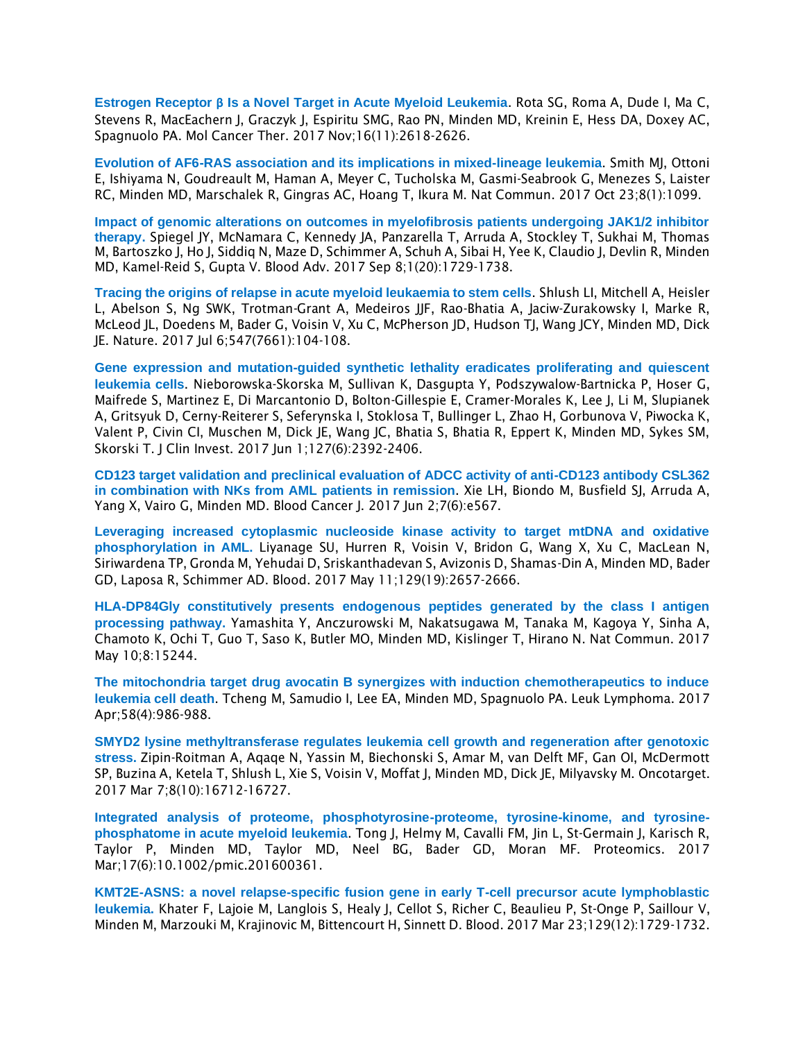**Estrogen Receptor β Is a Novel Target in Acute Myeloid Leukemia**. Rota SG, Roma A, Dude I, Ma C, Stevens R, MacEachern J, Graczyk J, Espiritu SMG, Rao PN, Minden MD, Kreinin E, Hess DA, Doxey AC, Spagnuolo PA. Mol Cancer Ther. 2017 Nov;16(11):2618-2626.

**Evolution of AF6-RAS association and its implications in mixed-lineage leukemia**. Smith MJ, Ottoni E, Ishiyama N, Goudreault M, Haman A, Meyer C, Tucholska M, Gasmi-Seabrook G, Menezes S, Laister RC, Minden MD, Marschalek R, Gingras AC, Hoang T, Ikura M. Nat Commun. 2017 Oct 23;8(1):1099.

**Impact of genomic alterations on outcomes in myelofibrosis patients undergoing JAK1/2 inhibitor therapy.** Spiegel JY, McNamara C, Kennedy JA, Panzarella T, Arruda A, Stockley T, Sukhai M, Thomas M, Bartoszko J, Ho J, Siddiq N, Maze D, Schimmer A, Schuh A, Sibai H, Yee K, Claudio J, Devlin R, Minden MD, Kamel-Reid S, Gupta V. Blood Adv. 2017 Sep 8;1(20):1729-1738.

**Tracing the origins of relapse in acute myeloid leukaemia to stem cells**. Shlush LI, Mitchell A, Heisler L, Abelson S, Ng SWK, Trotman-Grant A, Medeiros JJF, Rao-Bhatia A, Jaciw-Zurakowsky I, Marke R, McLeod JL, Doedens M, Bader G, Voisin V, Xu C, McPherson JD, Hudson TJ, Wang JCY, Minden MD, Dick JE. Nature. 2017 Jul 6;547(7661):104-108.

**Gene expression and mutation-guided synthetic lethality eradicates proliferating and quiescent leukemia cells**. Nieborowska-Skorska M, Sullivan K, Dasgupta Y, Podszywalow-Bartnicka P, Hoser G, Maifrede S, Martinez E, Di Marcantonio D, Bolton-Gillespie E, Cramer-Morales K, Lee J, Li M, Slupianek A, Gritsyuk D, Cerny-Reiterer S, Seferynska I, Stoklosa T, Bullinger L, Zhao H, Gorbunova V, Piwocka K, Valent P, Civin CI, Muschen M, Dick JE, Wang JC, Bhatia S, Bhatia R, Eppert K, Minden MD, Sykes SM, Skorski T. J Clin Invest. 2017 Jun 1;127(6):2392-2406.

**CD123 target validation and preclinical evaluation of ADCC activity of anti-CD123 antibody CSL362 in combination with NKs from AML patients in remission**. Xie LH, Biondo M, Busfield SJ, Arruda A, Yang X, Vairo G, Minden MD. Blood Cancer J. 2017 Jun 2;7(6):e567.

**Leveraging increased cytoplasmic nucleoside kinase activity to target mtDNA and oxidative phosphorylation in AML.** Liyanage SU, Hurren R, Voisin V, Bridon G, Wang X, Xu C, MacLean N, Siriwardena TP, Gronda M, Yehudai D, Sriskanthadevan S, Avizonis D, Shamas-Din A, Minden MD, Bader GD, Laposa R, Schimmer AD. Blood. 2017 May 11;129(19):2657-2666.

**HLA-DP84Gly constitutively presents endogenous peptides generated by the class I antigen processing pathway.** Yamashita Y, Anczurowski M, Nakatsugawa M, Tanaka M, Kagoya Y, Sinha A, Chamoto K, Ochi T, Guo T, Saso K, Butler MO, Minden MD, Kislinger T, Hirano N. Nat Commun. 2017 May 10;8:15244.

**The mitochondria target drug avocatin B synergizes with induction chemotherapeutics to induce leukemia cell death**. Tcheng M, Samudio I, Lee EA, Minden MD, Spagnuolo PA. Leuk Lymphoma. 2017 Apr;58(4):986-988.

**SMYD2 lysine methyltransferase regulates leukemia cell growth and regeneration after genotoxic stress.** Zipin-Roitman A, Aqaqe N, Yassin M, Biechonski S, Amar M, van Delft MF, Gan OI, McDermott SP, Buzina A, Ketela T, Shlush L, Xie S, Voisin V, Moffat J, Minden MD, Dick JE, Milyavsky M. Oncotarget. 2017 Mar 7;8(10):16712-16727.

**Integrated analysis of proteome, phosphotyrosine-proteome, tyrosine-kinome, and tyrosinephosphatome in acute myeloid leukemia**. Tong J, Helmy M, Cavalli FM, Jin L, St-Germain J, Karisch R, Taylor P, Minden MD, Taylor MD, Neel BG, Bader GD, Moran MF. Proteomics. 2017 Mar;17(6):10.1002/pmic.201600361.

**KMT2E-ASNS: a novel relapse-specific fusion gene in early T-cell precursor acute lymphoblastic leukemia.** Khater F, Lajoie M, Langlois S, Healy J, Cellot S, Richer C, Beaulieu P, St-Onge P, Saillour V, Minden M, Marzouki M, Krajinovic M, Bittencourt H, Sinnett D. Blood. 2017 Mar 23;129(12):1729-1732.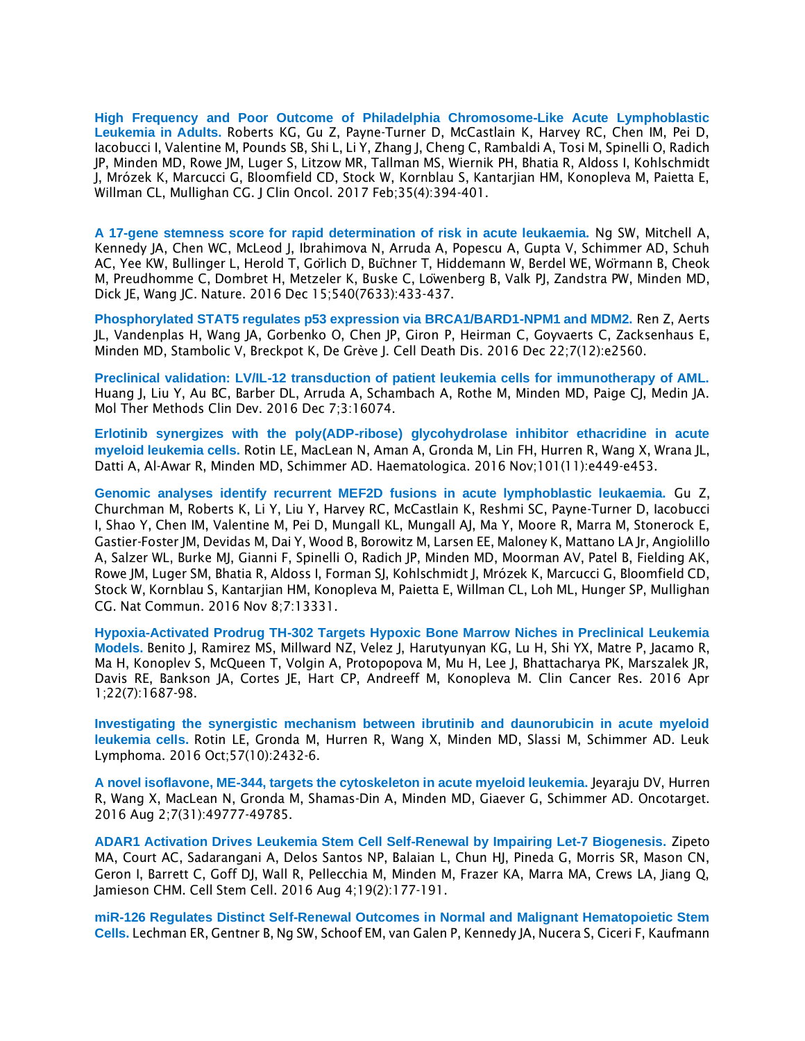**[High Frequency and Poor Outcome of Philadelphia Chromosome-Like Acute Lymphoblastic](https://pubmed.ncbi.nlm.nih.gov/27870571/)  [Leukemia in Adults.](https://pubmed.ncbi.nlm.nih.gov/27870571/)** Roberts KG, Gu Z, Payne-Turner D, McCastlain K, Harvey RC, Chen IM, Pei D, Iacobucci I, Valentine M, Pounds SB, Shi L, Li Y, Zhang J, Cheng C, Rambaldi A, Tosi M, Spinelli O, Radich JP, Minden MD, Rowe JM, Luger S, Litzow MR, Tallman MS, Wiernik PH, Bhatia R, Aldoss I, Kohlschmidt J, Mrózek K, Marcucci G, Bloomfield CD, Stock W, Kornblau S, Kantarjian HM, Konopleva M, Paietta E, Willman CL, Mullighan CG. J Clin Oncol. 2017 Feb;35(4):394-401.

**A 17-gene stemness score for rapid determination of risk in acute leukaemia.** Ng SW, Mitchell A, Kennedy JA, Chen WC, McLeod J, Ibrahimova N, Arruda A, Popescu A, Gupta V, Schimmer AD, Schuh AC, Yee KW, Bullinger L, Herold T, Görlich D, Büchner T, Hiddemann W, Berdel WE, Wörmann B, Cheok M, Preudhomme C, Dombret H, Metzeler K, Buske C, Löwenberg B, Valk PJ, Zandstra PW, Minden MD, Dick JE, Wang JC. Nature. 2016 Dec 15;540(7633):433-437.

**Phosphorylated STAT5 regulates p53 expression via BRCA1/BARD1-NPM1 and MDM2.** Ren Z, Aerts JL, Vandenplas H, Wang JA, Gorbenko O, Chen JP, Giron P, Heirman C, Goyvaerts C, Zacksenhaus E, Minden MD, Stambolic V, Breckpot K, De Grève J. Cell Death Dis. 2016 Dec 22;7(12):e2560.

**Preclinical validation: LV/IL-12 transduction of patient leukemia cells for immunotherapy of AML.** Huang J, Liu Y, Au BC, Barber DL, Arruda A, Schambach A, Rothe M, Minden MD, Paige CJ, Medin JA. Mol Ther Methods Clin Dev. 2016 Dec 7;3:16074.

**Erlotinib synergizes with the poly(ADP-ribose) glycohydrolase inhibitor ethacridine in acute myeloid leukemia cells.** Rotin LE, MacLean N, Aman A, Gronda M, Lin FH, Hurren R, Wang X, Wrana JL, Datti A, Al-Awar R, Minden MD, Schimmer AD. Haematologica. 2016 Nov;101(11):e449-e453.

**Genomic analyses identify recurrent MEF2D fusions in acute lymphoblastic leukaemia.** Gu Z, Churchman M, Roberts K, Li Y, Liu Y, Harvey RC, McCastlain K, Reshmi SC, Payne-Turner D, Iacobucci I, Shao Y, Chen IM, Valentine M, Pei D, Mungall KL, Mungall AJ, Ma Y, Moore R, Marra M, Stonerock E, Gastier-Foster JM, Devidas M, Dai Y, Wood B, Borowitz M, Larsen EE, Maloney K, Mattano LA Jr, Angiolillo A, Salzer WL, Burke MJ, Gianni F, Spinelli O, Radich JP, Minden MD, Moorman AV, Patel B, Fielding AK, Rowe JM, Luger SM, Bhatia R, Aldoss I, Forman SJ, Kohlschmidt J, Mrózek K, Marcucci G, Bloomfield CD, Stock W, Kornblau S, Kantarjian HM, Konopleva M, Paietta E, Willman CL, Loh ML, Hunger SP, Mullighan CG. Nat Commun. 2016 Nov 8;7:13331.

**[Hypoxia-Activated Prodrug TH-302 Targets Hypoxic Bone Marrow Niches in Preclinical Leukemia](https://pubmed.ncbi.nlm.nih.gov/26603259/)  [Models.](https://pubmed.ncbi.nlm.nih.gov/26603259/)** Benito J, Ramirez MS, Millward NZ, Velez J, Harutyunyan KG, Lu H, Shi YX, Matre P, Jacamo R, Ma H, Konoplev S, McQueen T, Volgin A, Protopopova M, Mu H, Lee J, Bhattacharya PK, Marszalek JR, Davis RE, Bankson JA, Cortes JE, Hart CP, Andreeff M, Konopleva M. Clin Cancer Res. 2016 Apr 1;22(7):1687-98.

**Investigating the synergistic mechanism between ibrutinib and daunorubicin in acute myeloid leukemia cells.** Rotin LE, Gronda M, Hurren R, Wang X, Minden MD, Slassi M, Schimmer AD. Leuk Lymphoma. 2016 Oct;57(10):2432-6.

**A novel isoflavone, ME-344, targets the cytoskeleton in acute myeloid leukemia.** Jeyaraju DV, Hurren R, Wang X, MacLean N, Gronda M, Shamas-Din A, Minden MD, Giaever G, Schimmer AD. Oncotarget. 2016 Aug 2;7(31):49777-49785.

**ADAR1 Activation Drives Leukemia Stem Cell Self-Renewal by Impairing Let-7 Biogenesis.** Zipeto MA, Court AC, Sadarangani A, Delos Santos NP, Balaian L, Chun HJ, Pineda G, Morris SR, Mason CN, Geron I, Barrett C, Goff DJ, Wall R, Pellecchia M, Minden M, Frazer KA, Marra MA, Crews LA, Jiang Q, Jamieson CHM. Cell Stem Cell. 2016 Aug 4;19(2):177-191.

**miR-126 Regulates Distinct Self-Renewal Outcomes in Normal and Malignant Hematopoietic Stem Cells.** Lechman ER, Gentner B, Ng SW, Schoof EM, van Galen P, Kennedy JA, Nucera S, Ciceri F, Kaufmann